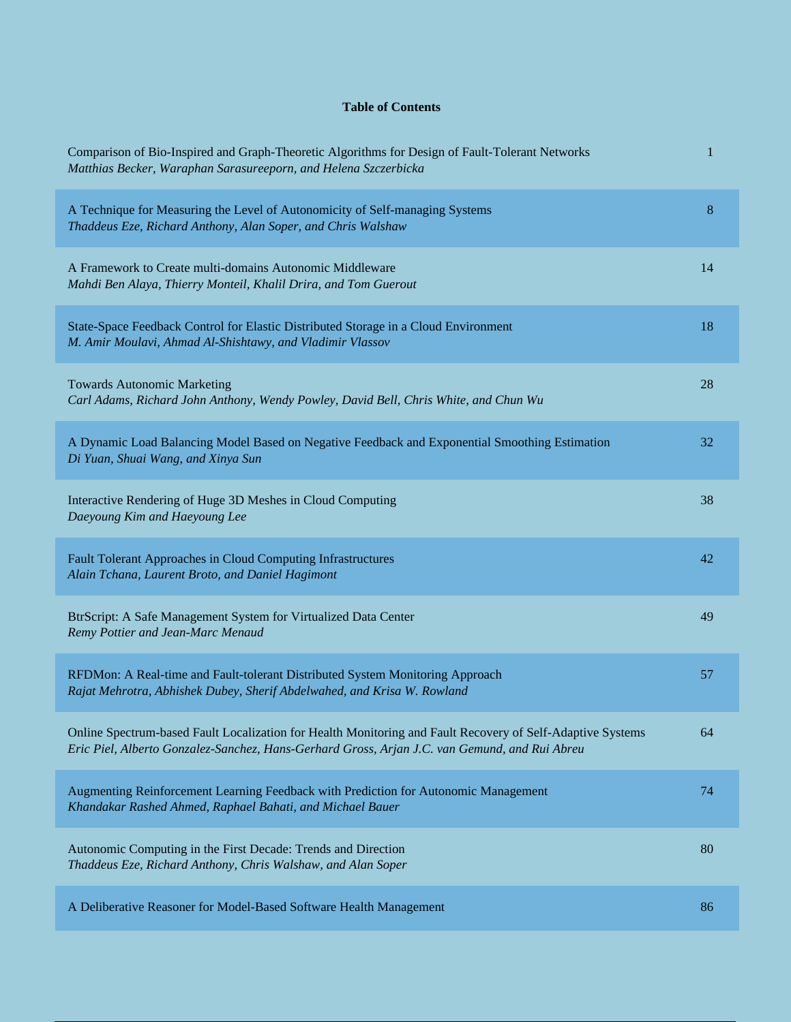## **Table of Contents**

| Comparison of Bio-Inspired and Graph-Theoretic Algorithms for Design of Fault-Tolerant Networks<br>Matthias Becker, Waraphan Sarasureeporn, and Helena Szczerbicka                                          | 1  |
|-------------------------------------------------------------------------------------------------------------------------------------------------------------------------------------------------------------|----|
| A Technique for Measuring the Level of Autonomicity of Self-managing Systems<br>Thaddeus Eze, Richard Anthony, Alan Soper, and Chris Walshaw                                                                | 8  |
| A Framework to Create multi-domains Autonomic Middleware<br>Mahdi Ben Alaya, Thierry Monteil, Khalil Drira, and Tom Guerout                                                                                 | 14 |
| State-Space Feedback Control for Elastic Distributed Storage in a Cloud Environment<br>M. Amir Moulavi, Ahmad Al-Shishtawy, and Vladimir Vlassov                                                            | 18 |
| <b>Towards Autonomic Marketing</b><br>Carl Adams, Richard John Anthony, Wendy Powley, David Bell, Chris White, and Chun Wu                                                                                  | 28 |
| A Dynamic Load Balancing Model Based on Negative Feedback and Exponential Smoothing Estimation<br>Di Yuan, Shuai Wang, and Xinya Sun                                                                        | 32 |
| Interactive Rendering of Huge 3D Meshes in Cloud Computing<br>Daeyoung Kim and Haeyoung Lee                                                                                                                 | 38 |
| Fault Tolerant Approaches in Cloud Computing Infrastructures<br>Alain Tchana, Laurent Broto, and Daniel Hagimont                                                                                            | 42 |
| BtrScript: A Safe Management System for Virtualized Data Center<br>Remy Pottier and Jean-Marc Menaud                                                                                                        | 49 |
| RFDMon: A Real-time and Fault-tolerant Distributed System Monitoring Approach<br>Rajat Mehrotra, Abhishek Dubey, Sherif Abdelwahed, and Krisa W. Rowland                                                    | 57 |
| Online Spectrum-based Fault Localization for Health Monitoring and Fault Recovery of Self-Adaptive Systems<br>Eric Piel, Alberto Gonzalez-Sanchez, Hans-Gerhard Gross, Arjan J.C. van Gemund, and Rui Abreu | 64 |
| Augmenting Reinforcement Learning Feedback with Prediction for Autonomic Management<br>Khandakar Rashed Ahmed, Raphael Bahati, and Michael Bauer                                                            | 74 |
| Autonomic Computing in the First Decade: Trends and Direction<br>Thaddeus Eze, Richard Anthony, Chris Walshaw, and Alan Soper                                                                               | 80 |
| A Deliberative Reasoner for Model-Based Software Health Management                                                                                                                                          | 86 |